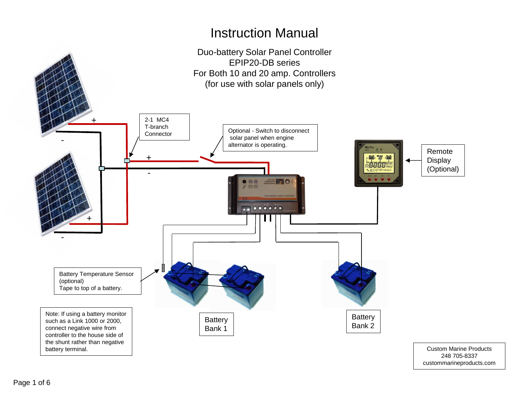### Instruction Manual



custommarineproducts.com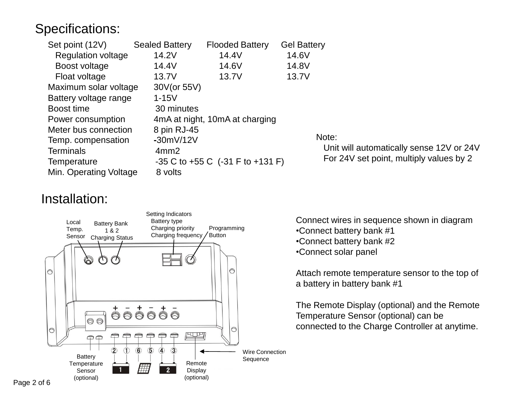## Specifications:

| Set point (12V)           | <b>Sealed Battery</b> | <b>Flooded Battery</b>                    | <b>Gel Battery</b> |
|---------------------------|-----------------------|-------------------------------------------|--------------------|
| <b>Regulation voltage</b> | 14.2V                 | 14.4V                                     | 14.6V              |
| Boost voltage             | 14.4V                 | 14.6V                                     | 14.8V              |
| Float voltage             | 13.7V                 | 13.7V                                     | 13.7V              |
| Maximum solar voltage     | 30V(or 55V)           |                                           |                    |
| Battery voltage range     | $1-15V$               |                                           |                    |
| Boost time                | 30 minutes            |                                           |                    |
| Power consumption         |                       | 4mA at night, 10mA at charging            |                    |
| Meter bus connection      | 8 pin RJ-45           |                                           |                    |
| Temp. compensation        | $-30mV/12V$           |                                           | No <sup>-</sup>    |
| <b>Terminals</b>          | 4mm2                  |                                           |                    |
| Temperature               |                       | $-35$ C to $+55$ C $(-31)$ F to $+131$ F) | F                  |
| Min. Operating Voltage    | 8 volts               |                                           |                    |

#### ite:

 Unit will automatically sense 12V or 24V For 24V set point, multiply values by 2

#### Installation:



Connect wires in sequence shown in diagram •Connect battery bank #1 •Connect battery bank #2 •Connect solar panel

Attach remote temperature sensor to the top of a battery in battery bank #1

The Remote Display (optional) and the Remote Temperature Sensor (optional) can be connected to the Charge Controller at anytime.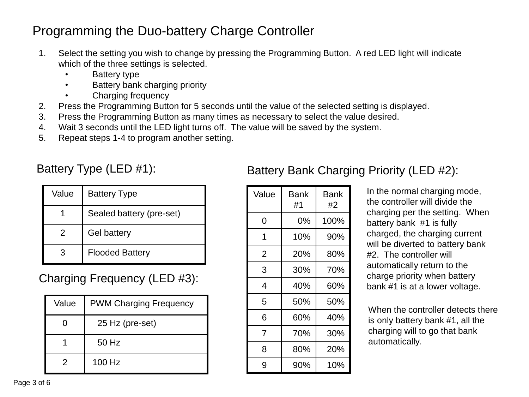# Programming the Duo-battery Charge Controller

- 1. Select the setting you wish to change by pressing the Programming Button. A red LED light will indicate which of the three settings is selected.
	- Battery type
	- Battery bank charging priority
	- Charging frequency
- 2. Press the Programming Button for 5 seconds until the value of the selected setting is displayed.
- 3. Press the Programming Button as many times as necessary to select the value desired.
- 4. Wait 3 seconds until the LED light turns off. The value will be saved by the system.
- 5. Repeat steps 1-4 to program another setting.

#### Battery Type (LED #1):

| Value | <b>Battery Type</b>      |
|-------|--------------------------|
|       | Sealed battery (pre-set) |
| 2     | <b>Gel battery</b>       |
|       | <b>Flooded Battery</b>   |

### Charging Frequency (LED #3):

| Value | <b>PWM Charging Frequency</b> |
|-------|-------------------------------|
|       | 25 Hz (pre-set)               |
|       | 50 Hz                         |
| 2     | 100 Hz                        |

#### Value | Bank #1 Bank #2  $0 \quad | \quad 0\% \quad | \quad 100\%$ 1 10% 90% 2 20% 80%  $3 \mid 30\% \mid 70\%$ 4 | 40% | 60%  $5 \quad | \quad 50\% \quad | \quad 50\%$ 6 60% 40% 7 70% 30% 8 80% 20% 9 90% 10%

Battery Bank Charging Priority (LED #2):

In the normal charging mode, the controller will divide the charging per the setting. When battery bank #1 is fully charged, the charging current will be diverted to battery bank #2. The controller will automatically return to the charge priority when battery bank #1 is at a lower voltage.

When the controller detects there is only battery bank #1, all the charging will to go that bank automatically.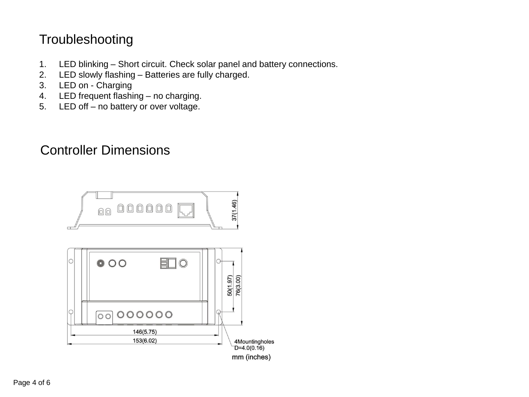## Troubleshooting

- 1. LED blinking Short circuit. Check solar panel and battery connections.
- 2. LED slowly flashing Batteries are fully charged.
- 3. LED on Charging
- 4. LED frequent flashing no charging.
- 5. LED off no battery or over voltage.

### Controller Dimensions

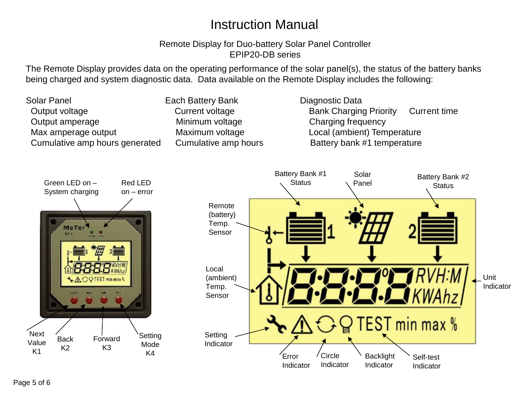## Instruction Manual

#### Remote Display for Duo-battery Solar Panel Controller EPIP20-DB series

The Remote Display provides data on the operating performance of the solar panel(s), the status of the battery banks being charged and system diagnostic data. Data available on the Remote Display includes the following:

Solar Panel **Each Battery Bank** Diagnostic Data Output voltage **Current voltage** Current voltage Bank Charging Priority Current time Output amperage The Minimum voltage Charging frequency Max amperage output Maximum voltage Local (ambient) Temperature Cumulative amp hours generated Cumulative amp hours **Battery bank #1** temperature

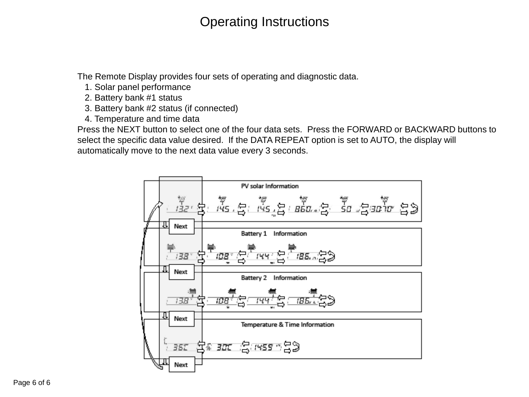## Operating Instructions

The Remote Display provides four sets of operating and diagnostic data.

- 1. Solar panel performance
- 2. Battery bank #1 status
- 3. Battery bank #2 status (if connected)
- 4. Temperature and time data

Press the NEXT button to select one of the four data sets. Press the FORWARD or BACKWARD buttons to select the specific data value desired. If the DATA REPEAT option is set to AUTO, the display will automatically move to the next data value every 3 seconds.

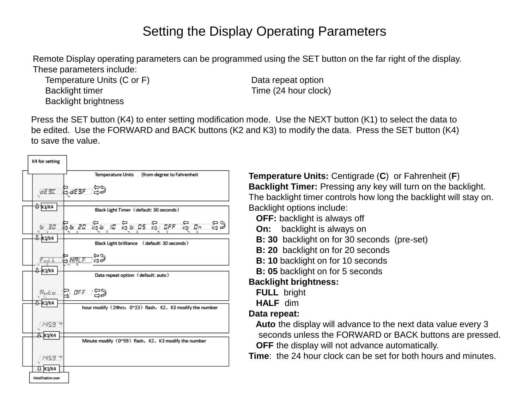### Setting the Display Operating Parameters

Remote Display operating parameters can be programmed using the SET button on the far right of the display. These parameters include:

Temperature Units (C or F) Data repeat option Backlight timer Time (24 hour clock) Backlight brightness

Press the SET button (K4) to enter setting modification mode. Use the NEXT button (K1) to select the data to be edited. Use the FORWARD and BACK buttons (K2 and K3) to modify the data. Press the SET button (K4) to save the value.

| K4 for setting    |                                                           |
|-------------------|-----------------------------------------------------------|
|                   | <b>Temperature Units</b><br>(from degree to Fahrenheit    |
|                   | 9551 BS55 SS                                              |
| <b>Ј⊢к</b> 1/к4   | Black Light Timer (default: 30 seconds)                   |
|                   | းဒါ စုံး ရြေငွေးချင်း စွာပိုးစီး စွာပြီးရနေကြ ပြွေးချ     |
| 0-к1/к4           | Black Light brilliance (default: 30 seconds)              |
| 0-к1/к4           | <i><u>ਸਰੂਹ ਦ੍ਰਿਸ਼ਸ਼ੁਰੂ ਤਿੰ</u></i>                        |
|                   | Data repeat option (default: auto)                        |
|                   | <sub>있는</sub> 같 <i>마</i> 드 음)                             |
| Л∏к1/к4           | hour modify (24hrs: 0~23) flash, K2, K3 modify the number |
| 1459 M            |                                                           |
| Л. къ⁄к4          | Minute modify (0~59) flash, K2, K3 modify the number      |
|                   |                                                           |
| <b>HAZS</b>       |                                                           |
| ΠK1/K4            |                                                           |
| Modification over |                                                           |

**Temperature Units:** Centigrade (**C**) or Fahrenheit (**F**) **Backlight Timer:** Pressing any key will turn on the backlight. The backlight timer controls how long the backlight will stay on. Backlight options include:

**OFF:** backlight is always off

- **On:** backlight is always on
- **B: 30** backlight on for 30 seconds (pre-set)
- **B: 20** backlight on for 20 seconds
- **B: 10** backlight on for 10 seconds
- **B: 05** backlight on for 5 seconds

#### **Backlight brightness:**

- **FULL** bright
- **HALF** dim

#### **Data repeat:**

 **Auto** the display will advance to the next data value every 3 seconds unless the FORWARD or BACK buttons are pressed. **OFF** the display will not advance automatically.

**Time**: the 24 hour clock can be set for both hours and minutes.